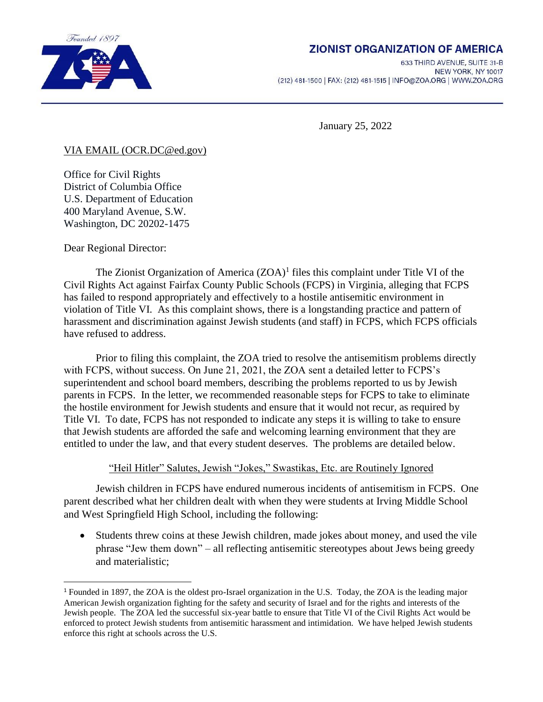

# **ZIONIST ORGANIZATION OF AMERICA**

633 THIRD AVENUE, SUITE 31-B NEW YORK, NY 10017 (212) 481-1500 | FAX: (212) 481-1515 | INFO@ZOA.ORG | WWW.ZOA.ORG

January 25, 2022

### VIA EMAIL (OCR.DC@ed.gov)

Office for Civil Rights District of Columbia Office U.S. Department of Education 400 Maryland Avenue, S.W. Washington, DC 20202-1475

Dear Regional Director:

l

The Zionist Organization of America  $(ZOA)^1$  files this complaint under Title VI of the Civil Rights Act against Fairfax County Public Schools (FCPS) in Virginia, alleging that FCPS has failed to respond appropriately and effectively to a hostile antisemitic environment in violation of Title VI. As this complaint shows, there is a longstanding practice and pattern of harassment and discrimination against Jewish students (and staff) in FCPS, which FCPS officials have refused to address.

Prior to filing this complaint, the ZOA tried to resolve the antisemitism problems directly with FCPS, without success. On June 21, 2021, the ZOA sent a detailed letter to FCPS's superintendent and school board members, describing the problems reported to us by Jewish parents in FCPS. In the letter, we recommended reasonable steps for FCPS to take to eliminate the hostile environment for Jewish students and ensure that it would not recur, as required by Title VI. To date, FCPS has not responded to indicate any steps it is willing to take to ensure that Jewish students are afforded the safe and welcoming learning environment that they are entitled to under the law, and that every student deserves. The problems are detailed below.

## "Heil Hitler" Salutes, Jewish "Jokes," Swastikas, Etc. are Routinely Ignored

Jewish children in FCPS have endured numerous incidents of antisemitism in FCPS. One parent described what her children dealt with when they were students at Irving Middle School and West Springfield High School, including the following:

 Students threw coins at these Jewish children, made jokes about money, and used the vile phrase "Jew them down" – all reflecting antisemitic stereotypes about Jews being greedy and materialistic;

<sup>1</sup> Founded in 1897, the ZOA is the oldest pro-Israel organization in the U.S. Today, the ZOA is the leading major American Jewish organization fighting for the safety and security of Israel and for the rights and interests of the Jewish people. The ZOA led the successful six-year battle to ensure that Title VI of the Civil Rights Act would be enforced to protect Jewish students from antisemitic harassment and intimidation. We have helped Jewish students enforce this right at schools across the U.S.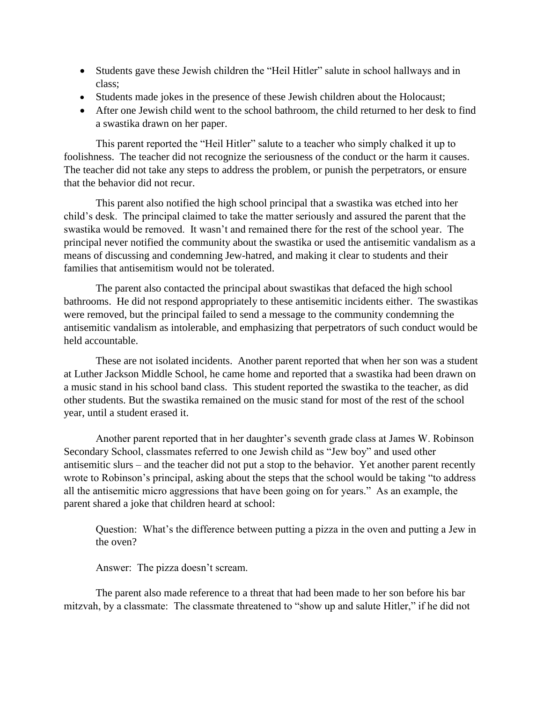- Students gave these Jewish children the "Heil Hitler" salute in school hallways and in class;
- Students made jokes in the presence of these Jewish children about the Holocaust;
- After one Jewish child went to the school bathroom, the child returned to her desk to find a swastika drawn on her paper.

This parent reported the "Heil Hitler" salute to a teacher who simply chalked it up to foolishness. The teacher did not recognize the seriousness of the conduct or the harm it causes. The teacher did not take any steps to address the problem, or punish the perpetrators, or ensure that the behavior did not recur.

This parent also notified the high school principal that a swastika was etched into her child's desk. The principal claimed to take the matter seriously and assured the parent that the swastika would be removed. It wasn't and remained there for the rest of the school year. The principal never notified the community about the swastika or used the antisemitic vandalism as a means of discussing and condemning Jew-hatred, and making it clear to students and their families that antisemitism would not be tolerated.

The parent also contacted the principal about swastikas that defaced the high school bathrooms. He did not respond appropriately to these antisemitic incidents either. The swastikas were removed, but the principal failed to send a message to the community condemning the antisemitic vandalism as intolerable, and emphasizing that perpetrators of such conduct would be held accountable.

These are not isolated incidents. Another parent reported that when her son was a student at Luther Jackson Middle School, he came home and reported that a swastika had been drawn on a music stand in his school band class. This student reported the swastika to the teacher, as did other students. But the swastika remained on the music stand for most of the rest of the school year, until a student erased it.

Another parent reported that in her daughter's seventh grade class at James W. Robinson Secondary School, classmates referred to one Jewish child as "Jew boy" and used other antisemitic slurs – and the teacher did not put a stop to the behavior. Yet another parent recently wrote to Robinson's principal, asking about the steps that the school would be taking "to address all the antisemitic micro aggressions that have been going on for years." As an example, the parent shared a joke that children heard at school:

Question: What's the difference between putting a pizza in the oven and putting a Jew in the oven?

Answer: The pizza doesn't scream.

The parent also made reference to a threat that had been made to her son before his bar mitzvah, by a classmate: The classmate threatened to "show up and salute Hitler," if he did not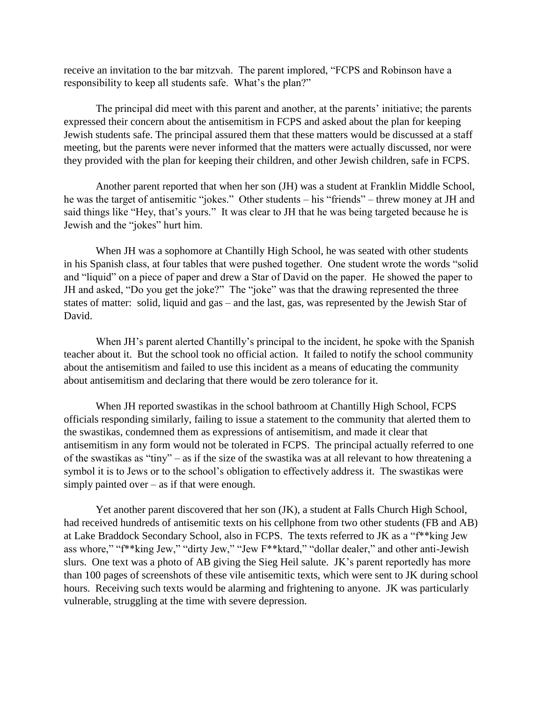receive an invitation to the bar mitzvah. The parent implored, "FCPS and Robinson have a responsibility to keep all students safe. What's the plan?"

The principal did meet with this parent and another, at the parents' initiative; the parents expressed their concern about the antisemitism in FCPS and asked about the plan for keeping Jewish students safe. The principal assured them that these matters would be discussed at a staff meeting, but the parents were never informed that the matters were actually discussed, nor were they provided with the plan for keeping their children, and other Jewish children, safe in FCPS.

Another parent reported that when her son (JH) was a student at Franklin Middle School, he was the target of antisemitic "jokes." Other students – his "friends" – threw money at JH and said things like "Hey, that's yours." It was clear to JH that he was being targeted because he is Jewish and the "jokes" hurt him.

When JH was a sophomore at Chantilly High School, he was seated with other students in his Spanish class, at four tables that were pushed together. One student wrote the words "solid and "liquid" on a piece of paper and drew a Star of David on the paper. He showed the paper to JH and asked, "Do you get the joke?" The "joke" was that the drawing represented the three states of matter: solid, liquid and gas – and the last, gas, was represented by the Jewish Star of David.

When JH's parent alerted Chantilly's principal to the incident, he spoke with the Spanish teacher about it. But the school took no official action. It failed to notify the school community about the antisemitism and failed to use this incident as a means of educating the community about antisemitism and declaring that there would be zero tolerance for it.

When JH reported swastikas in the school bathroom at Chantilly High School, FCPS officials responding similarly, failing to issue a statement to the community that alerted them to the swastikas, condemned them as expressions of antisemitism, and made it clear that antisemitism in any form would not be tolerated in FCPS. The principal actually referred to one of the swastikas as "tiny" – as if the size of the swastika was at all relevant to how threatening a symbol it is to Jews or to the school's obligation to effectively address it. The swastikas were simply painted over – as if that were enough.

Yet another parent discovered that her son (JK), a student at Falls Church High School, had received hundreds of antisemitic texts on his cellphone from two other students (FB and AB) at Lake Braddock Secondary School, also in FCPS. The texts referred to JK as a "f\*\*king Jew ass whore," "f\*\*king Jew," "dirty Jew," "Jew F\*\*ktard," "dollar dealer," and other anti-Jewish slurs. One text was a photo of AB giving the Sieg Heil salute. JK's parent reportedly has more than 100 pages of screenshots of these vile antisemitic texts, which were sent to JK during school hours. Receiving such texts would be alarming and frightening to anyone. JK was particularly vulnerable, struggling at the time with severe depression.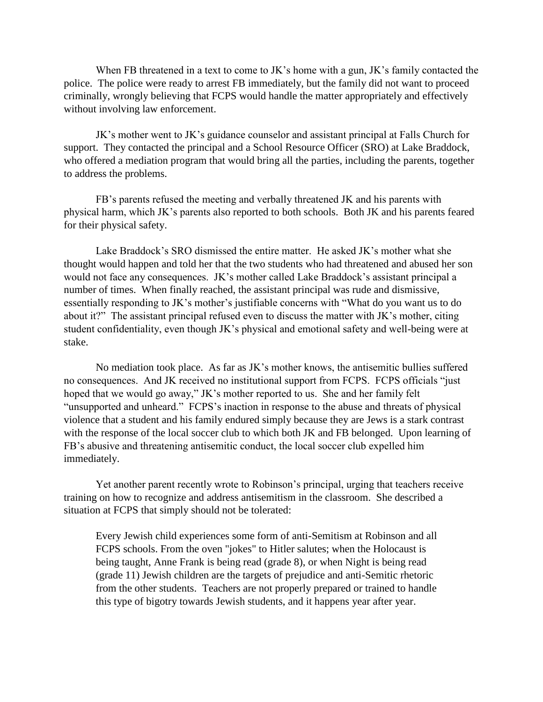When FB threatened in a text to come to JK's home with a gun, JK's family contacted the police. The police were ready to arrest FB immediately, but the family did not want to proceed criminally, wrongly believing that FCPS would handle the matter appropriately and effectively without involving law enforcement.

JK's mother went to JK's guidance counselor and assistant principal at Falls Church for support. They contacted the principal and a School Resource Officer (SRO) at Lake Braddock, who offered a mediation program that would bring all the parties, including the parents, together to address the problems.

FB's parents refused the meeting and verbally threatened JK and his parents with physical harm, which JK's parents also reported to both schools. Both JK and his parents feared for their physical safety.

Lake Braddock's SRO dismissed the entire matter. He asked JK's mother what she thought would happen and told her that the two students who had threatened and abused her son would not face any consequences. JK's mother called Lake Braddock's assistant principal a number of times. When finally reached, the assistant principal was rude and dismissive, essentially responding to JK's mother's justifiable concerns with "What do you want us to do about it?" The assistant principal refused even to discuss the matter with JK's mother, citing student confidentiality, even though JK's physical and emotional safety and well-being were at stake.

No mediation took place. As far as JK's mother knows, the antisemitic bullies suffered no consequences. And JK received no institutional support from FCPS. FCPS officials "just hoped that we would go away," JK's mother reported to us. She and her family felt "unsupported and unheard." FCPS's inaction in response to the abuse and threats of physical violence that a student and his family endured simply because they are Jews is a stark contrast with the response of the local soccer club to which both JK and FB belonged. Upon learning of FB's abusive and threatening antisemitic conduct, the local soccer club expelled him immediately.

Yet another parent recently wrote to Robinson's principal, urging that teachers receive training on how to recognize and address antisemitism in the classroom. She described a situation at FCPS that simply should not be tolerated:

Every Jewish child experiences some form of anti-Semitism at Robinson and all FCPS schools. From the oven "jokes" to Hitler salutes; when the Holocaust is being taught, Anne Frank is being read (grade 8), or when Night is being read (grade 11) Jewish children are the targets of prejudice and anti-Semitic rhetoric from the other students. Teachers are not properly prepared or trained to handle this type of bigotry towards Jewish students, and it happens year after year.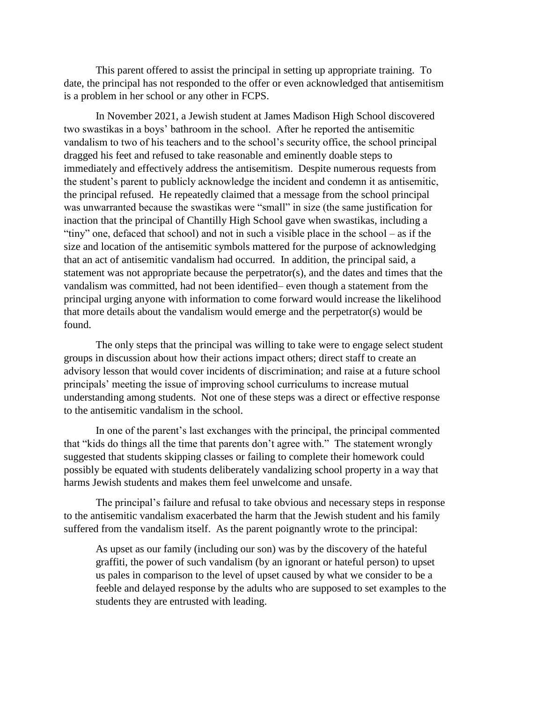This parent offered to assist the principal in setting up appropriate training. To date, the principal has not responded to the offer or even acknowledged that antisemitism is a problem in her school or any other in FCPS.

In November 2021, a Jewish student at James Madison High School discovered two swastikas in a boys' bathroom in the school. After he reported the antisemitic vandalism to two of his teachers and to the school's security office, the school principal dragged his feet and refused to take reasonable and eminently doable steps to immediately and effectively address the antisemitism. Despite numerous requests from the student's parent to publicly acknowledge the incident and condemn it as antisemitic, the principal refused. He repeatedly claimed that a message from the school principal was unwarranted because the swastikas were "small" in size (the same justification for inaction that the principal of Chantilly High School gave when swastikas, including a "tiny" one, defaced that school) and not in such a visible place in the school – as if the size and location of the antisemitic symbols mattered for the purpose of acknowledging that an act of antisemitic vandalism had occurred. In addition, the principal said, a statement was not appropriate because the perpetrator(s), and the dates and times that the vandalism was committed, had not been identified– even though a statement from the principal urging anyone with information to come forward would increase the likelihood that more details about the vandalism would emerge and the perpetrator(s) would be found.

The only steps that the principal was willing to take were to engage select student groups in discussion about how their actions impact others; direct staff to create an advisory lesson that would cover incidents of discrimination; and raise at a future school principals' meeting the issue of improving school curriculums to increase mutual understanding among students. Not one of these steps was a direct or effective response to the antisemitic vandalism in the school.

In one of the parent's last exchanges with the principal, the principal commented that "kids do things all the time that parents don't agree with." The statement wrongly suggested that students skipping classes or failing to complete their homework could possibly be equated with students deliberately vandalizing school property in a way that harms Jewish students and makes them feel unwelcome and unsafe.

The principal's failure and refusal to take obvious and necessary steps in response to the antisemitic vandalism exacerbated the harm that the Jewish student and his family suffered from the vandalism itself. As the parent poignantly wrote to the principal:

As upset as our family (including our son) was by the discovery of the hateful graffiti, the power of such vandalism (by an ignorant or hateful person) to upset us pales in comparison to the level of upset caused by what we consider to be a feeble and delayed response by the adults who are supposed to set examples to the students they are entrusted with leading.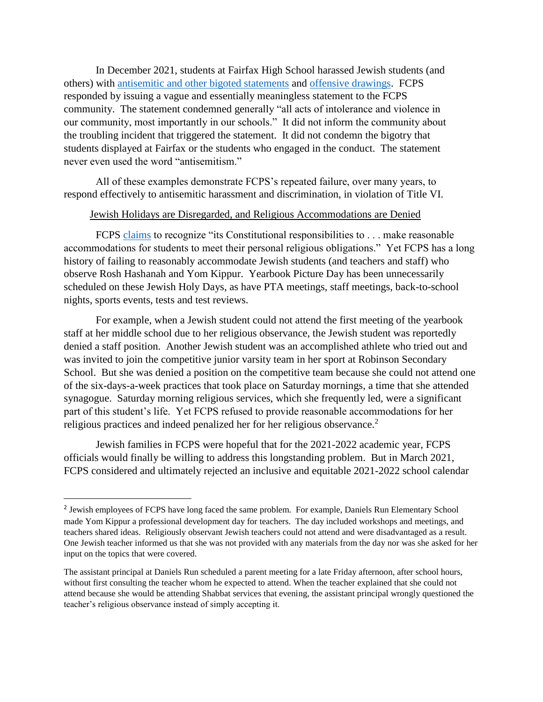In December 2021, students at Fairfax High School harassed Jewish students (and others) with [antisemitic and other bigoted statements](https://nam12.safelinks.protection.outlook.com/?url=https%3A%2F%2Fwww.nbcwashington.com%2Fnews%2Flocal%2Fnorthern-virginia%2Fmuslim-student-in-fairfax-reports-hateful-insults-attack%2F2912140%2F&data=04%7C01%7CSTuchman%40zoa.org%7C4e06049798fe44fee97e08d9c0dedbb9%7C7b1e3d07d9cb45beb032abe13188b8cf%7C1%7C0%7C637752885683043499%7CUnknown%7CTWFpbGZsb3d8eyJWIjoiMC4wLjAwMDAiLCJQIjoiV2luMzIiLCJBTiI6Ik1haWwiLCJXVCI6Mn0%3D%7C3000&sdata=5oVNnNs9GbKnJbxcJEt%2BbXty7lNlBSVjl3IGK%2FrWmus%3D&reserved=0) and [offensive drawings.](https://wjla.com/news/local/students-protest-at-fairfax-high-after-they-say-a-muslim-student-had-her-hijab-removed-assault-fight) FCPS responded by issuing a vague and essentially meaningless statement to the FCPS community. The statement condemned generally "all acts of intolerance and violence in our community, most importantly in our schools." It did not inform the community about the troubling incident that triggered the statement. It did not condemn the bigotry that students displayed at Fairfax or the students who engaged in the conduct. The statement never even used the word "antisemitism."

All of these examples demonstrate FCPS's repeated failure, over many years, to respond effectively to antisemitic harassment and discrimination, in violation of Title VI.

### Jewish Holidays are Disregarded, and Religious Accommodations are Denied

FCPS [claims](https://www.fcps.edu/department-human-resources/equity-and-employee-relations/guidelines-for-religious-activities) to recognize "its Constitutional responsibilities to . . . make reasonable accommodations for students to meet their personal religious obligations." Yet FCPS has a long history of failing to reasonably accommodate Jewish students (and teachers and staff) who observe Rosh Hashanah and Yom Kippur. Yearbook Picture Day has been unnecessarily scheduled on these Jewish Holy Days, as have PTA meetings, staff meetings, back-to-school nights, sports events, tests and test reviews.

For example, when a Jewish student could not attend the first meeting of the yearbook staff at her middle school due to her religious observance, the Jewish student was reportedly denied a staff position. Another Jewish student was an accomplished athlete who tried out and was invited to join the competitive junior varsity team in her sport at Robinson Secondary School. But she was denied a position on the competitive team because she could not attend one of the six-days-a-week practices that took place on Saturday mornings, a time that she attended synagogue. Saturday morning religious services, which she frequently led, were a significant part of this student's life. Yet FCPS refused to provide reasonable accommodations for her religious practices and indeed penalized her for her religious observance.<sup>2</sup>

Jewish families in FCPS were hopeful that for the 2021-2022 academic year, FCPS officials would finally be willing to address this longstanding problem. But in March 2021, FCPS considered and ultimately rejected an inclusive and equitable 2021-2022 school calendar

 $\overline{a}$ 

<sup>&</sup>lt;sup>2</sup> Jewish employees of FCPS have long faced the same problem. For example, Daniels Run Elementary School made Yom Kippur a professional development day for teachers. The day included workshops and meetings, and teachers shared ideas. Religiously observant Jewish teachers could not attend and were disadvantaged as a result. One Jewish teacher informed us that she was not provided with any materials from the day nor was she asked for her input on the topics that were covered.

The assistant principal at Daniels Run scheduled a parent meeting for a late Friday afternoon, after school hours, without first consulting the teacher whom he expected to attend. When the teacher explained that she could not attend because she would be attending Shabbat services that evening, the assistant principal wrongly questioned the teacher's religious observance instead of simply accepting it.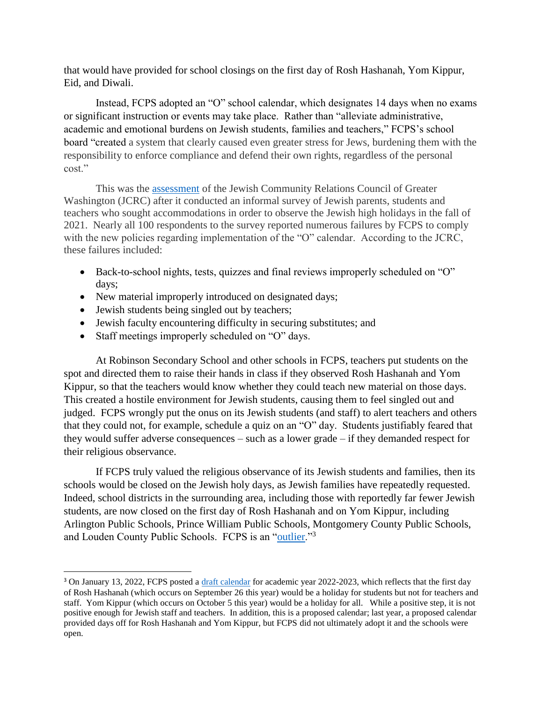that would have provided for school closings on the first day of Rosh Hashanah, Yom Kippur, Eid, and Diwali.

Instead, FCPS adopted an "O" school calendar, which designates 14 days when no exams or significant instruction or events may take place. Rather than "alleviate administrative, academic and emotional burdens on Jewish students, families and teachers," FCPS's school board "created a system that clearly caused even greater stress for Jews, burdening them with the responsibility to enforce compliance and defend their own rights, regardless of the personal cost."

This was the [assessment](https://jcouncil.org/statements/jcrc-says-new-fcps-o-calendar-does-not-remedy-accommodation-failures?emci=0cd53f11-c935-ec11-9820-c896653b26c8&emdi=45e59e08-7137-ec11-9820-c896653b26c8&ceid=75532) of the Jewish Community Relations Council of Greater Washington (JCRC) after it conducted an informal survey of Jewish parents, students and teachers who sought accommodations in order to observe the Jewish high holidays in the fall of 2021. Nearly all 100 respondents to the survey reported numerous failures by FCPS to comply with the new policies regarding implementation of the "O" calendar. According to the JCRC, these failures included:

- Back-to-school nights, tests, quizzes and final reviews improperly scheduled on "O" days;
- New material improperly introduced on designated days;
- Jewish students being singled out by teachers;

 $\overline{\phantom{a}}$ 

- Jewish faculty encountering difficulty in securing substitutes; and
- Staff meetings improperly scheduled on "O" days.

At Robinson Secondary School and other schools in FCPS, teachers put students on the spot and directed them to raise their hands in class if they observed Rosh Hashanah and Yom Kippur, so that the teachers would know whether they could teach new material on those days. This created a hostile environment for Jewish students, causing them to feel singled out and judged. FCPS wrongly put the onus on its Jewish students (and staff) to alert teachers and others that they could not, for example, schedule a quiz on an "O" day. Students justifiably feared that they would suffer adverse consequences – such as a lower grade – if they demanded respect for their religious observance.

If FCPS truly valued the religious observance of its Jewish students and families, then its schools would be closed on the Jewish holy days, as Jewish families have repeatedly requested. Indeed, school districts in the surrounding area, including those with reportedly far fewer Jewish students, are now closed on the first day of Rosh Hashanah and on Yom Kippur, including Arlington Public Schools, Prince William Public Schools, Montgomery County Public Schools, and Louden County Public Schools. FCPS is an ["outlier.](https://www.washingtonjewishweek.com/fairfax-schools-observance-days/)"3

<sup>&</sup>lt;sup>3</sup> On January 13, 2022, FCPS posted a [draft calendar](https://fairfaxcountysepta.files.wordpress.com/2022/01/2022-2023-standard-school-year-calendar-draft.pdf) for academic year 2022-2023, which reflects that the first day of Rosh Hashanah (which occurs on September 26 this year) would be a holiday for students but not for teachers and staff. Yom Kippur (which occurs on October 5 this year) would be a holiday for all. While a positive step, it is not positive enough for Jewish staff and teachers. In addition, this is a proposed calendar; last year, a proposed calendar provided days off for Rosh Hashanah and Yom Kippur, but FCPS did not ultimately adopt it and the schools were open.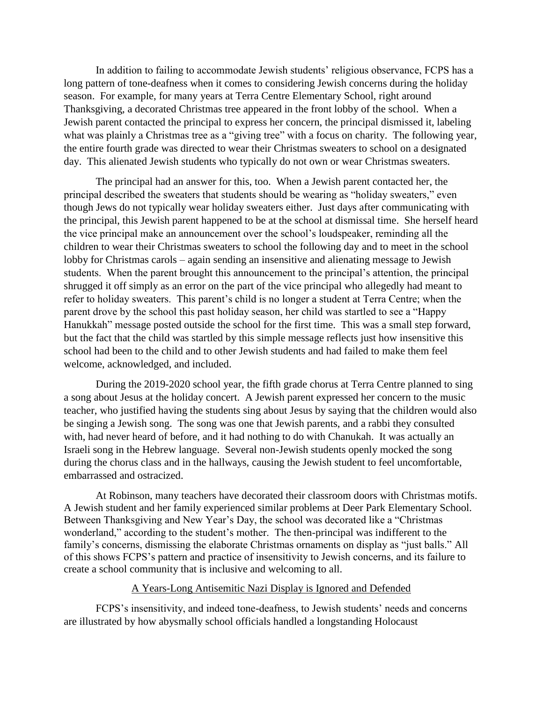In addition to failing to accommodate Jewish students' religious observance, FCPS has a long pattern of tone-deafness when it comes to considering Jewish concerns during the holiday season. For example, for many years at Terra Centre Elementary School, right around Thanksgiving, a decorated Christmas tree appeared in the front lobby of the school. When a Jewish parent contacted the principal to express her concern, the principal dismissed it, labeling what was plainly a Christmas tree as a "giving tree" with a focus on charity. The following year, the entire fourth grade was directed to wear their Christmas sweaters to school on a designated day. This alienated Jewish students who typically do not own or wear Christmas sweaters.

The principal had an answer for this, too. When a Jewish parent contacted her, the principal described the sweaters that students should be wearing as "holiday sweaters," even though Jews do not typically wear holiday sweaters either. Just days after communicating with the principal, this Jewish parent happened to be at the school at dismissal time. She herself heard the vice principal make an announcement over the school's loudspeaker, reminding all the children to wear their Christmas sweaters to school the following day and to meet in the school lobby for Christmas carols – again sending an insensitive and alienating message to Jewish students. When the parent brought this announcement to the principal's attention, the principal shrugged it off simply as an error on the part of the vice principal who allegedly had meant to refer to holiday sweaters. This parent's child is no longer a student at Terra Centre; when the parent drove by the school this past holiday season, her child was startled to see a "Happy Hanukkah" message posted outside the school for the first time. This was a small step forward, but the fact that the child was startled by this simple message reflects just how insensitive this school had been to the child and to other Jewish students and had failed to make them feel welcome, acknowledged, and included.

During the 2019-2020 school year, the fifth grade chorus at Terra Centre planned to sing a song about Jesus at the holiday concert. A Jewish parent expressed her concern to the music teacher, who justified having the students sing about Jesus by saying that the children would also be singing a Jewish song. The song was one that Jewish parents, and a rabbi they consulted with, had never heard of before, and it had nothing to do with Chanukah. It was actually an Israeli song in the Hebrew language. Several non-Jewish students openly mocked the song during the chorus class and in the hallways, causing the Jewish student to feel uncomfortable, embarrassed and ostracized.

At Robinson, many teachers have decorated their classroom doors with Christmas motifs. A Jewish student and her family experienced similar problems at Deer Park Elementary School. Between Thanksgiving and New Year's Day, the school was decorated like a "Christmas wonderland," according to the student's mother. The then-principal was indifferent to the family's concerns, dismissing the elaborate Christmas ornaments on display as "just balls." All of this shows FCPS's pattern and practice of insensitivity to Jewish concerns, and its failure to create a school community that is inclusive and welcoming to all.

#### A Years-Long Antisemitic Nazi Display is Ignored and Defended

FCPS's insensitivity, and indeed tone-deafness, to Jewish students' needs and concerns are illustrated by how abysmally school officials handled a longstanding Holocaust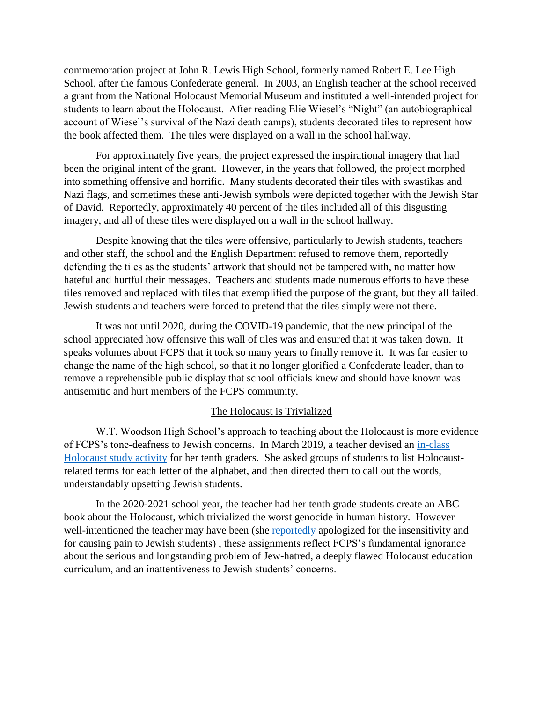commemoration project at John R. Lewis High School, formerly named Robert E. Lee High School, after the famous Confederate general. In 2003, an English teacher at the school received a grant from the National Holocaust Memorial Museum and instituted a well-intended project for students to learn about the Holocaust. After reading Elie Wiesel's "Night" (an autobiographical account of Wiesel's survival of the Nazi death camps), students decorated tiles to represent how the book affected them. The tiles were displayed on a wall in the school hallway.

For approximately five years, the project expressed the inspirational imagery that had been the original intent of the grant. However, in the years that followed, the project morphed into something offensive and horrific. Many students decorated their tiles with swastikas and Nazi flags, and sometimes these anti-Jewish symbols were depicted together with the Jewish Star of David. Reportedly, approximately 40 percent of the tiles included all of this disgusting imagery, and all of these tiles were displayed on a wall in the school hallway.

Despite knowing that the tiles were offensive, particularly to Jewish students, teachers and other staff, the school and the English Department refused to remove them, reportedly defending the tiles as the students' artwork that should not be tampered with, no matter how hateful and hurtful their messages. Teachers and students made numerous efforts to have these tiles removed and replaced with tiles that exemplified the purpose of the grant, but they all failed. Jewish students and teachers were forced to pretend that the tiles simply were not there.

It was not until 2020, during the COVID-19 pandemic, that the new principal of the school appreciated how offensive this wall of tiles was and ensured that it was taken down. It speaks volumes about FCPS that it took so many years to finally remove it. It was far easier to change the name of the high school, so that it no longer glorified a Confederate leader, than to remove a reprehensible public display that school officials knew and should have known was antisemitic and hurt members of the FCPS community.

#### The Holocaust is Trivialized

W.T. Woodson High School's approach to teaching about the Holocaust is more evidence of FCPS's tone-deafness to Jewish concerns. In March 2019, a teacher devised an [in-class](https://nam12.safelinks.protection.outlook.com/?url=https%3A%2F%2Fpatch.com%2Fvirginia%2Ffairfaxcity%2Fholocaust-activity-removed-after-backlash-w-t-woodson-high&data=04%7C01%7CSTuchman%40zoa.org%7C2cded6f8544f48933e9008d93015b0d9%7C7b1e3d07d9cb45beb032abe13188b8cf%7C1%7C1%7C637593691995716032%7CUnknown%7CTWFpbGZsb3d8eyJWIjoiMC4wLjAwMDAiLCJQIjoiV2luMzIiLCJBTiI6Ik1haWwiLCJXVCI6Mn0%3D%7C2000&sdata=FEnd6aMZRGm3bogdYakovonAcoB3yU4UgPzjHrP4ALs%3D&reserved=0)  [Holocaust study activity](https://nam12.safelinks.protection.outlook.com/?url=https%3A%2F%2Fpatch.com%2Fvirginia%2Ffairfaxcity%2Fholocaust-activity-removed-after-backlash-w-t-woodson-high&data=04%7C01%7CSTuchman%40zoa.org%7C2cded6f8544f48933e9008d93015b0d9%7C7b1e3d07d9cb45beb032abe13188b8cf%7C1%7C1%7C637593691995716032%7CUnknown%7CTWFpbGZsb3d8eyJWIjoiMC4wLjAwMDAiLCJQIjoiV2luMzIiLCJBTiI6Ik1haWwiLCJXVCI6Mn0%3D%7C2000&sdata=FEnd6aMZRGm3bogdYakovonAcoB3yU4UgPzjHrP4ALs%3D&reserved=0) for her tenth graders. She asked groups of students to list Holocaustrelated terms for each letter of the alphabet, and then directed them to call out the words, understandably upsetting Jewish students.

In the 2020-2021 school year, the teacher had her tenth grade students create an ABC book about the Holocaust, which trivialized the worst genocide in human history. However well-intentioned the teacher may have been (she [reportedly](https://nam12.safelinks.protection.outlook.com/?url=https%3A%2F%2Fpatch.com%2Fvirginia%2Ffairfaxcity%2Fholocaust-activity-removed-after-backlash-w-t-woodson-high&data=04%7C01%7CSTuchman%40zoa.org%7C2cded6f8544f48933e9008d93015b0d9%7C7b1e3d07d9cb45beb032abe13188b8cf%7C1%7C1%7C637593691995716032%7CUnknown%7CTWFpbGZsb3d8eyJWIjoiMC4wLjAwMDAiLCJQIjoiV2luMzIiLCJBTiI6Ik1haWwiLCJXVCI6Mn0%3D%7C2000&sdata=FEnd6aMZRGm3bogdYakovonAcoB3yU4UgPzjHrP4ALs%3D&reserved=0) apologized for the insensitivity and for causing pain to Jewish students) , these assignments reflect FCPS's fundamental ignorance about the serious and longstanding problem of Jew-hatred, a deeply flawed Holocaust education curriculum, and an inattentiveness to Jewish students' concerns.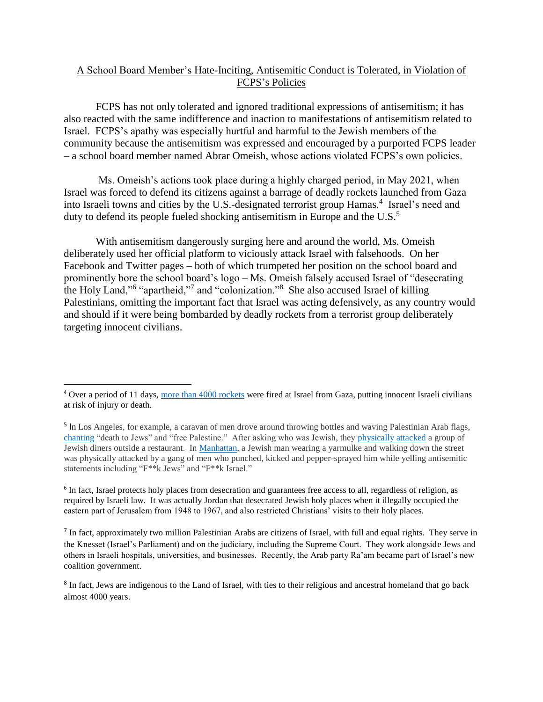### A School Board Member's Hate-Inciting, Antisemitic Conduct is Tolerated, in Violation of FCPS's Policies

FCPS has not only tolerated and ignored traditional expressions of antisemitism; it has also reacted with the same indifference and inaction to manifestations of antisemitism related to Israel. FCPS's apathy was especially hurtful and harmful to the Jewish members of the community because the antisemitism was expressed and encouraged by a purported FCPS leader – a school board member named Abrar Omeish, whose actions violated FCPS's own policies.

Ms. Omeish's actions took place during a highly charged period, in May 2021, when Israel was forced to defend its citizens against a barrage of deadly rockets launched from Gaza into Israeli towns and cities by the U.S.-designated terrorist group Hamas.<sup>4</sup> Israel's need and duty to defend its people fueled shocking antisemitism in Europe and the U.S.<sup>5</sup>

With antisemitism dangerously surging here and around the world, Ms. Omeish deliberately used her official platform to viciously attack Israel with falsehoods. On her Facebook and Twitter pages – both of which trumpeted her position on the school board and prominently bore the school board's logo – Ms. Omeish falsely accused Israel of "desecrating the Holy Land,"<sup>6</sup> "apartheid,"<sup>7</sup> and "colonization."<sup>8</sup> She also accused Israel of killing Palestinians, omitting the important fact that Israel was acting defensively, as any country would and should if it were being bombarded by deadly rockets from a terrorist group deliberately targeting innocent civilians.

 $\overline{\phantom{a}}$ 

<sup>4</sup> Over a period of 11 days, [more than 4000 rockets](https://mfa.gov.il/MFA/ForeignPolicy/Terrorism/Palestinian/Pages/Operation-Guardian-of-the-Walls-10-May-2021.aspx) were fired at Israel from Gaza, putting innocent Israeli civilians at risk of injury or death.

<sup>&</sup>lt;sup>5</sup> In Los Angeles, for example, a caravan of men drove around throwing bottles and waving Palestinian Arab flags, [chanting](https://www.jpost.com/breaking-news/two-pro-palestinians-charged-with-hate-crime-for-attacking-a-jew-679989) "death to Jews" and "free Palestine." After asking who was Jewish, they [physically attacked](https://losangeles.cbslocal.com/2021/05/19/police-investigate-possible-jewish-hate-crime-attack-at-beverly-grove-restaurant/) a group of Jewish diners outside a restaurant. I[n Manhattan,](https://www.cnn.com/2021/05/25/us/second-arrest-new-york-antisemitic-attack/index.html) a Jewish man wearing a yarmulke and walking down the street was physically attacked by a gang of men who punched, kicked and pepper-sprayed him while yelling antisemitic statements including "F\*\*k Jews" and "F\*\*k Israel."

<sup>&</sup>lt;sup>6</sup> In fact, Israel protects holy places from desecration and guarantees free access to all, regardless of religion, as required by Israeli law. It was actually Jordan that desecrated Jewish holy places when it illegally occupied the eastern part of Jerusalem from 1948 to 1967, and also restricted Christians' visits to their holy places.

<sup>&</sup>lt;sup>7</sup> In fact, approximately two million Palestinian Arabs are citizens of Israel, with full and equal rights. They serve in the Knesset (Israel's Parliament) and on the judiciary, including the Supreme Court. They work alongside Jews and others in Israeli hospitals, universities, and businesses. Recently, the Arab party Ra'am became part of Israel's new coalition government.

<sup>&</sup>lt;sup>8</sup> In fact, Jews are indigenous to the Land of Israel, with ties to their religious and ancestral homeland that go back almost 4000 years.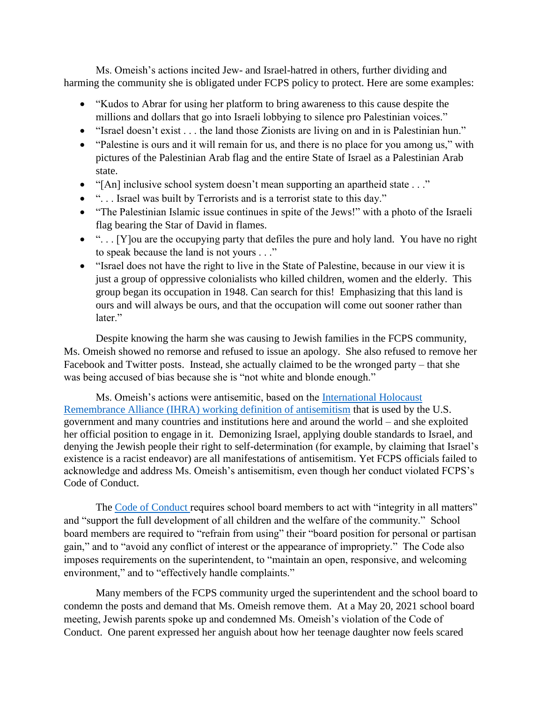Ms. Omeish's actions incited Jew- and Israel-hatred in others, further dividing and harming the community she is obligated under FCPS policy to protect. Here are some examples:

- "Kudos to Abrar for using her platform to bring awareness to this cause despite the millions and dollars that go into Israeli lobbying to silence pro Palestinian voices."
- "Israel doesn't exist . . . the land those Zionists are living on and in is Palestinian hun."
- "Palestine is ours and it will remain for us, and there is no place for you among us," with pictures of the Palestinian Arab flag and the entire State of Israel as a Palestinian Arab state.
- "[An] inclusive school system doesn't mean supporting an apartheid state . . ."
- ". . . Israel was built by Terrorists and is a terrorist state to this day."
- "The Palestinian Islamic issue continues in spite of the Jews!" with a photo of the Israeli flag bearing the Star of David in flames.
- ". . . [Y]ou are the occupying party that defiles the pure and holy land. You have no right to speak because the land is not yours . . ."
- "Israel does not have the right to live in the State of Palestine, because in our view it is just a group of oppressive colonialists who killed children, women and the elderly. This group began its occupation in 1948. Can search for this! Emphasizing that this land is ours and will always be ours, and that the occupation will come out sooner rather than later."

Despite knowing the harm she was causing to Jewish families in the FCPS community, Ms. Omeish showed no remorse and refused to issue an apology. She also refused to remove her Facebook and Twitter posts. Instead, she actually claimed to be the wronged party – that she was being accused of bias because she is "not white and blonde enough."

Ms. Omeish's actions were antisemitic, based on the [International Holocaust](https://www.holocaustremembrance.com/resources/working-definitions-charters/working-definition-antisemitism)  [Remembrance Alliance \(IHRA\) working definition of antisemitism](https://www.holocaustremembrance.com/resources/working-definitions-charters/working-definition-antisemitism) that is used by the U.S. government and many countries and institutions here and around the world – and she exploited her official position to engage in it. Demonizing Israel, applying double standards to Israel, and denying the Jewish people their right to self-determination (for example, by claiming that Israel's existence is a racist endeavor) are all manifestations of antisemitism. Yet FCPS officials failed to acknowledge and address Ms. Omeish's antisemitism, even though her conduct violated FCPS's Code of Conduct.

The [Code of Conduct](https://go.boarddocs.com/vsba/fairfax/Board.nsf/files/C9S5L510B665/$file/manual%20revisions%20approved%20-%2012-16-21.pdf) requires school board members to act with "integrity in all matters" and "support the full development of all children and the welfare of the community." School board members are required to "refrain from using" their "board position for personal or partisan gain," and to "avoid any conflict of interest or the appearance of impropriety." The Code also imposes requirements on the superintendent, to "maintain an open, responsive, and welcoming environment," and to "effectively handle complaints."

Many members of the FCPS community urged the superintendent and the school board to condemn the posts and demand that Ms. Omeish remove them. At a May 20, 2021 school board meeting, Jewish parents spoke up and condemned Ms. Omeish's violation of the Code of Conduct. One parent expressed her anguish about how her teenage daughter now feels scared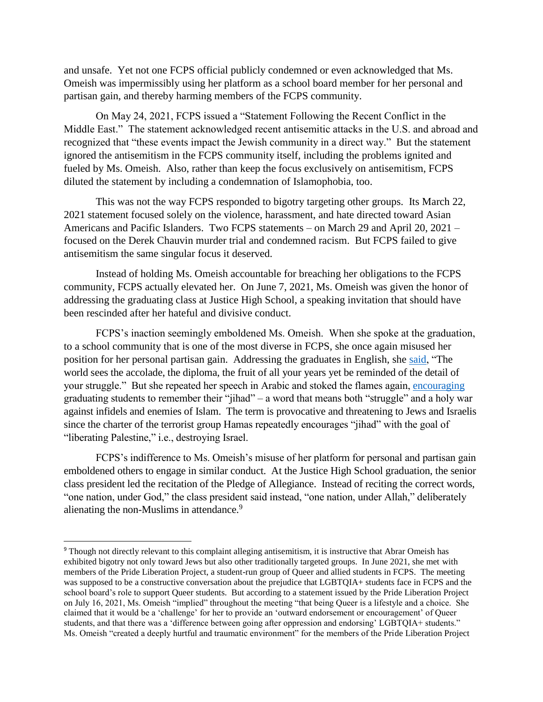and unsafe. Yet not one FCPS official publicly condemned or even acknowledged that Ms. Omeish was impermissibly using her platform as a school board member for her personal and partisan gain, and thereby harming members of the FCPS community.

On May 24, 2021, FCPS issued a "Statement Following the Recent Conflict in the Middle East." The statement acknowledged recent antisemitic attacks in the U.S. and abroad and recognized that "these events impact the Jewish community in a direct way." But the statement ignored the antisemitism in the FCPS community itself, including the problems ignited and fueled by Ms. Omeish. Also, rather than keep the focus exclusively on antisemitism, FCPS diluted the statement by including a condemnation of Islamophobia, too.

This was not the way FCPS responded to bigotry targeting other groups. Its March 22, 2021 statement focused solely on the violence, harassment, and hate directed toward Asian Americans and Pacific Islanders. Two FCPS statements – on March 29 and April 20, 2021 – focused on the Derek Chauvin murder trial and condemned racism. But FCPS failed to give antisemitism the same singular focus it deserved.

Instead of holding Ms. Omeish accountable for breaching her obligations to the FCPS community, FCPS actually elevated her. On June 7, 2021, Ms. Omeish was given the honor of addressing the graduating class at Justice High School, a speaking invitation that should have been rescinded after her hateful and divisive conduct.

FCPS's inaction seemingly emboldened Ms. Omeish. When she spoke at the graduation, to a school community that is one of the most diverse in FCPS, she once again misused her position for her personal partisan gain. Addressing the graduates in English, she [said,](https://www.dailymail.co.uk/news/article-9682529/School-board-member-encourages-kids-remember-jihad-graduation-speech.html) "The world sees the accolade, the diploma, the fruit of all your years yet be reminded of the detail of your struggle." But she repeated her speech in Arabic and stoked the flames again, [encouraging](https://www.dailymail.co.uk/news/article-9682529/School-board-member-encourages-kids-remember-jihad-graduation-speech.html) graduating students to remember their "jihad" – a word that means both "struggle" and a holy war against infidels and enemies of Islam. The term is provocative and threatening to Jews and Israelis since the charter of the terrorist group Hamas repeatedly encourages "jihad" with the goal of "liberating Palestine," i.e., destroying Israel.

FCPS's indifference to Ms. Omeish's misuse of her platform for personal and partisan gain emboldened others to engage in similar conduct. At the Justice High School graduation, the senior class president led the recitation of the Pledge of Allegiance. Instead of reciting the correct words, "one nation, under God," the class president said instead, "one nation, under Allah," deliberately alienating the non-Muslims in attendance.<sup>9</sup>

 $\overline{\phantom{a}}$ 

<sup>&</sup>lt;sup>9</sup> Though not directly relevant to this complaint alleging antisemitism, it is instructive that Abrar Omeish has exhibited bigotry not only toward Jews but also other traditionally targeted groups. In June 2021, she met with members of the Pride Liberation Project, a student-run group of Queer and allied students in FCPS. The meeting was supposed to be a constructive conversation about the prejudice that LGBTQIA+ students face in FCPS and the school board's role to support Queer students. But according to a statement issued by the Pride Liberation Project on July 16, 2021, Ms. Omeish "implied" throughout the meeting "that being Queer is a lifestyle and a choice. She claimed that it would be a 'challenge' for her to provide an 'outward endorsement or encouragement' of Queer students, and that there was a 'difference between going after oppression and endorsing' LGBTQIA+ students." Ms. Omeish "created a deeply hurtful and traumatic environment" for the members of the Pride Liberation Project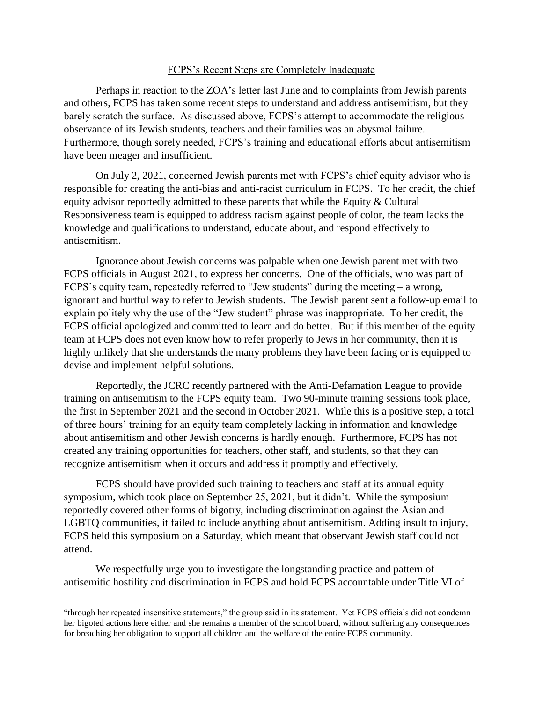#### FCPS's Recent Steps are Completely Inadequate

Perhaps in reaction to the ZOA's letter last June and to complaints from Jewish parents and others, FCPS has taken some recent steps to understand and address antisemitism, but they barely scratch the surface. As discussed above, FCPS's attempt to accommodate the religious observance of its Jewish students, teachers and their families was an abysmal failure. Furthermore, though sorely needed, FCPS's training and educational efforts about antisemitism have been meager and insufficient.

On July 2, 2021, concerned Jewish parents met with FCPS's chief equity advisor who is responsible for creating the anti-bias and anti-racist curriculum in FCPS. To her credit, the chief equity advisor reportedly admitted to these parents that while the Equity & Cultural Responsiveness team is equipped to address racism against people of color, the team lacks the knowledge and qualifications to understand, educate about, and respond effectively to antisemitism.

Ignorance about Jewish concerns was palpable when one Jewish parent met with two FCPS officials in August 2021, to express her concerns. One of the officials, who was part of FCPS's equity team, repeatedly referred to "Jew students" during the meeting – a wrong, ignorant and hurtful way to refer to Jewish students. The Jewish parent sent a follow-up email to explain politely why the use of the "Jew student" phrase was inappropriate. To her credit, the FCPS official apologized and committed to learn and do better. But if this member of the equity team at FCPS does not even know how to refer properly to Jews in her community, then it is highly unlikely that she understands the many problems they have been facing or is equipped to devise and implement helpful solutions.

Reportedly, the JCRC recently partnered with the Anti-Defamation League to provide training on antisemitism to the FCPS equity team. Two 90-minute training sessions took place, the first in September 2021 and the second in October 2021. While this is a positive step, a total of three hours' training for an equity team completely lacking in information and knowledge about antisemitism and other Jewish concerns is hardly enough. Furthermore, FCPS has not created any training opportunities for teachers, other staff, and students, so that they can recognize antisemitism when it occurs and address it promptly and effectively.

FCPS should have provided such training to teachers and staff at its annual equity symposium, which took place on September 25, 2021, but it didn't. While the symposium reportedly covered other forms of bigotry, including discrimination against the Asian and LGBTQ communities, it failed to include anything about antisemitism. Adding insult to injury, FCPS held this symposium on a Saturday, which meant that observant Jewish staff could not attend.

We respectfully urge you to investigate the longstanding practice and pattern of antisemitic hostility and discrimination in FCPS and hold FCPS accountable under Title VI of

 $\overline{\phantom{a}}$ 

<sup>&</sup>quot;through her repeated insensitive statements," the group said in its statement. Yet FCPS officials did not condemn her bigoted actions here either and she remains a member of the school board, without suffering any consequences for breaching her obligation to support all children and the welfare of the entire FCPS community.